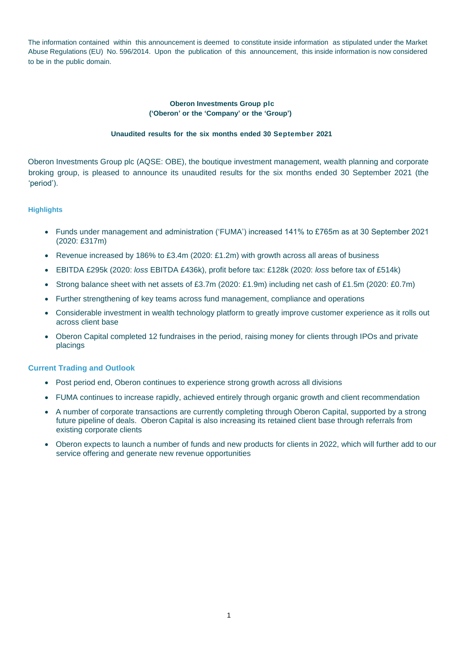The information contained within this announcement is deemed to constitute inside information as stipulated under the Market Abuse Regulations (EU) No. 596/2014. Upon the publication of this announcement, this inside information is now considered to be in the public domain.

# **Oberon Investments Group plc ('Oberon' or the 'Company' or the 'Group')**

# **Unaudited results for the six months ended 30 September 2021**

Oberon Investments Group plc (AQSE: OBE), the boutique investment management, wealth planning and corporate broking group, is pleased to announce its unaudited results for the six months ended 30 September 2021 (the 'period').

# **Highlights**

- Funds under management and administration ('FUMA') increased 141% to £765m as at 30 September 2021 (2020: £317m)
- Revenue increased by 186% to £3.4m (2020: £1.2m) with growth across all areas of business
- EBITDA £295k (2020: *loss* EBITDA £436k), profit before tax: £128k (2020: *loss* before tax of £514k)
- Strong balance sheet with net assets of £3.7m (2020: £1.9m) including net cash of £1.5m (2020: £0.7m)
- Further strengthening of key teams across fund management, compliance and operations
- Considerable investment in wealth technology platform to greatly improve customer experience as it rolls out across client base
- Oberon Capital completed 12 fundraises in the period, raising money for clients through IPOs and private placings

# **Current Trading and Outlook**

- Post period end, Oberon continues to experience strong growth across all divisions
- FUMA continues to increase rapidly, achieved entirely through organic growth and client recommendation
- A number of corporate transactions are currently completing through Oberon Capital, supported by a strong future pipeline of deals. Oberon Capital is also increasing its retained client base through referrals from existing corporate clients
- Oberon expects to launch a number of funds and new products for clients in 2022, which will further add to our service offering and generate new revenue opportunities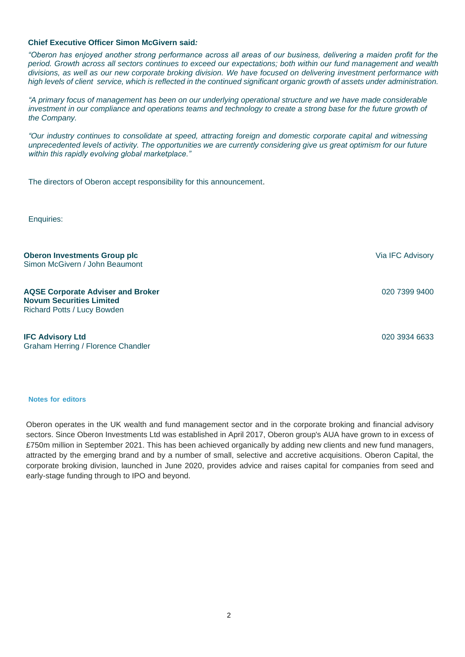# **Chief Executive Officer Simon McGivern said***:*

*"Oberon has enjoyed another strong performance across all areas of our business, delivering a maiden profit for the period. Growth across all sectors continues to exceed our expectations; both within our fund management and wealth divisions, as well as our new corporate broking division. We have focused on delivering investment performance with high levels of client service, which is reflected in the continued significant organic growth of assets under administration.* 

*"A primary focus of management has been on our underlying operational structure and we have made considerable investment in our compliance and operations teams and technology to create a strong base for the future growth of the Company.* 

*"Our industry continues to consolidate at speed, attracting foreign and domestic corporate capital and witnessing unprecedented levels of activity. The opportunities we are currently considering give us great optimism for our future within this rapidly evolving global marketplace."*

The directors of Oberon accept responsibility for this announcement.

Enquiries:

**Oberon Investments Group plc** Simon McGivern / John Beaumont

**AQSE Corporate Adviser and Broker Novum Securities Limited** Richard Potts / Lucy Bowden

**IFC Advisory Ltd** Graham Herring / Florence Chandler

**Notes for editors**

Oberon operates in the UK wealth and fund management sector and in the corporate broking and financial advisory sectors. Since Oberon Investments Ltd was established in April 2017, Oberon group's AUA have grown to in excess of £750m million in September 2021. This has been achieved organically by adding new clients and new fund managers, attracted by the emerging brand and by a number of small, selective and accretive acquisitions. Oberon Capital, the corporate broking division, launched in June 2020, provides advice and raises capital for companies from seed and early-stage funding through to IPO and beyond.

Via IFC Advisory

020 7399 9400

020 3934 6633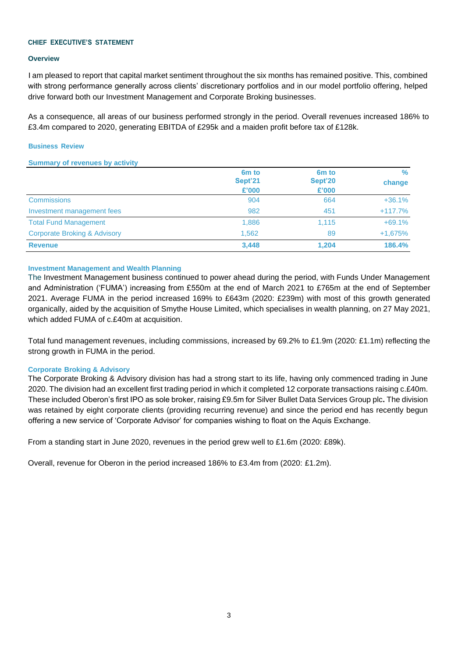### **CHIEF EXECUTIVE'S STATEMENT**

### **Overview**

I am pleased to report that capital market sentiment throughout the six months has remained positive. This, combined with strong performance generally across clients' discretionary portfolios and in our model portfolio offering, helped drive forward both our Investment Management and Corporate Broking businesses.

As a consequence, all areas of our business performed strongly in the period. Overall revenues increased 186% to £3.4m compared to 2020, generating EBITDA of £295k and a maiden profit before tax of £128k.

### **Business Review**

### **Summary of revenues by activity**

|                                         | 6 <sub>m</sub> to | 6 <sub>m</sub> to | $\%$      |
|-----------------------------------------|-------------------|-------------------|-----------|
|                                         | Sept'21           | Sept'20           | change    |
|                                         | £'000             | £'000             |           |
| <b>Commissions</b>                      | 904               | 664               | $+36.1%$  |
| Investment management fees              | 982               | 451               | $+117.7%$ |
| <b>Total Fund Management</b>            | 1,886             | 1.115             | $+69.1%$  |
| <b>Corporate Broking &amp; Advisory</b> | 1,562             | 89                | $+1,675%$ |
| <b>Revenue</b>                          | 3,448             | 1.204             | 186.4%    |

# **Investment Management and Wealth Planning**

The Investment Management business continued to power ahead during the period, with Funds Under Management and Administration ('FUMA') increasing from £550m at the end of March 2021 to £765m at the end of September 2021. Average FUMA in the period increased 169% to £643m (2020: £239m) with most of this growth generated organically, aided by the acquisition of Smythe House Limited, which specialises in wealth planning, on 27 May 2021, which added FUMA of c.£40m at acquisition.

Total fund management revenues, including commissions, increased by 69.2% to £1.9m (2020: £1.1m) reflecting the strong growth in FUMA in the period.

# **Corporate Broking & Advisory**

The Corporate Broking & Advisory division has had a strong start to its life, having only commenced trading in June 2020. The division had an excellent first trading period in which it completed 12 corporate transactions raising c.£40m. These included Oberon's first IPO as sole broker, raising £9.5m for Silver Bullet Data Services Group plc**.** The division was retained by eight corporate clients (providing recurring revenue) and since the period end has recently begun offering a new service of 'Corporate Advisor' for companies wishing to float on the Aquis Exchange.

From a standing start in June 2020, revenues in the period grew well to £1.6m (2020: £89k).

Overall, revenue for Oberon in the period increased 186% to £3.4m from (2020: £1.2m).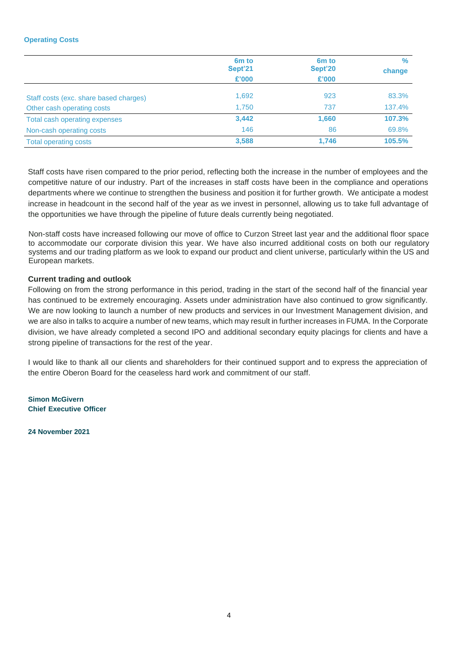# **Operating Costs**

|                                        | 6 <sub>m</sub> to<br>Sept'21<br>£'000 | 6 <sub>m</sub> to<br>Sept'20<br>£'000 | $\%$<br>change |
|----------------------------------------|---------------------------------------|---------------------------------------|----------------|
| Staff costs (exc. share based charges) | 1,692                                 | 923                                   | 83.3%          |
| Other cash operating costs             | 1.750                                 | 737                                   | 137.4%         |
| Total cash operating expenses          | 3,442                                 | 1,660                                 | 107.3%         |
| Non-cash operating costs               | 146                                   | 86                                    | 69.8%          |
| <b>Total operating costs</b>           | 3,588                                 | 1,746                                 | 105.5%         |

Staff costs have risen compared to the prior period, reflecting both the increase in the number of employees and the competitive nature of our industry. Part of the increases in staff costs have been in the compliance and operations departments where we continue to strengthen the business and position it for further growth. We anticipate a modest increase in headcount in the second half of the year as we invest in personnel, allowing us to take full advantage of the opportunities we have through the pipeline of future deals currently being negotiated.

Non-staff costs have increased following our move of office to Curzon Street last year and the additional floor space to accommodate our corporate division this year. We have also incurred additional costs on both our regulatory systems and our trading platform as we look to expand our product and client universe, particularly within the US and European markets.

# **Current trading and outlook**

Following on from the strong performance in this period, trading in the start of the second half of the financial year has continued to be extremely encouraging. Assets under administration have also continued to grow significantly. We are now looking to launch a number of new products and services in our Investment Management division, and we are also in talks to acquire a number of new teams, which may result in further increases in FUMA. In the Corporate division, we have already completed a second IPO and additional secondary equity placings for clients and have a strong pipeline of transactions for the rest of the year.

I would like to thank all our clients and shareholders for their continued support and to express the appreciation of the entire Oberon Board for the ceaseless hard work and commitment of our staff.

**Simon McGivern Chief Executive Officer**

**24 November 2021**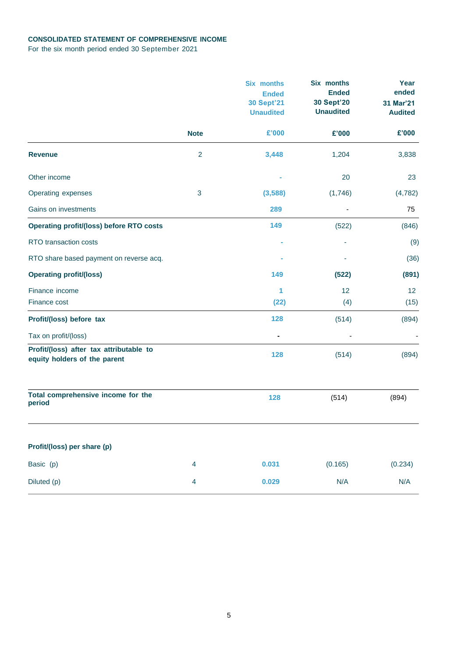# **CONSOLIDATED STATEMENT OF COMPREHENSIVE INCOME**

For the six month period ended 30 September 2021

|                                                                         |                         | <b>Six months</b><br><b>Ended</b><br><b>30 Sept'21</b><br><b>Unaudited</b> | Six months<br><b>Ended</b><br><b>30 Sept'20</b><br><b>Unaudited</b> | Year<br>ended<br>31 Mar'21<br><b>Audited</b> |
|-------------------------------------------------------------------------|-------------------------|----------------------------------------------------------------------------|---------------------------------------------------------------------|----------------------------------------------|
|                                                                         | <b>Note</b>             | £'000                                                                      | £'000                                                               | £'000                                        |
| <b>Revenue</b>                                                          | $\overline{2}$          | 3,448                                                                      | 1,204                                                               | 3,838                                        |
| Other income                                                            |                         |                                                                            | 20                                                                  | 23                                           |
| Operating expenses                                                      | $\mathbf{3}$            | (3,588)                                                                    | (1,746)                                                             | (4, 782)                                     |
| Gains on investments                                                    |                         | 289                                                                        | ٠                                                                   | 75                                           |
| <b>Operating profit/(loss) before RTO costs</b>                         |                         | 149                                                                        | (522)                                                               | (846)                                        |
| RTO transaction costs                                                   |                         |                                                                            |                                                                     | (9)                                          |
| RTO share based payment on reverse acq.                                 |                         |                                                                            |                                                                     | (36)                                         |
| <b>Operating profit/(loss)</b>                                          |                         | 149                                                                        | (522)                                                               | (891)                                        |
| Finance income                                                          |                         | 1                                                                          | 12                                                                  | 12                                           |
| Finance cost                                                            |                         | (22)                                                                       | (4)                                                                 | (15)                                         |
| Profit/(loss) before tax                                                |                         | 128                                                                        | (514)                                                               | (894)                                        |
| Tax on profit/(loss)                                                    |                         |                                                                            |                                                                     |                                              |
| Profit/(loss) after tax attributable to<br>equity holders of the parent |                         | 128                                                                        | (514)                                                               | (894)                                        |
| Total comprehensive income for the<br>period                            |                         | 128                                                                        | (514)                                                               | (894)                                        |
| Profit/(loss) per share (p)                                             |                         |                                                                            |                                                                     |                                              |
| Basic (p)                                                               | 4                       | 0.031                                                                      | (0.165)                                                             | (0.234)                                      |
| Diluted (p)                                                             | $\overline{\mathbf{4}}$ | 0.029                                                                      | N/A                                                                 | N/A                                          |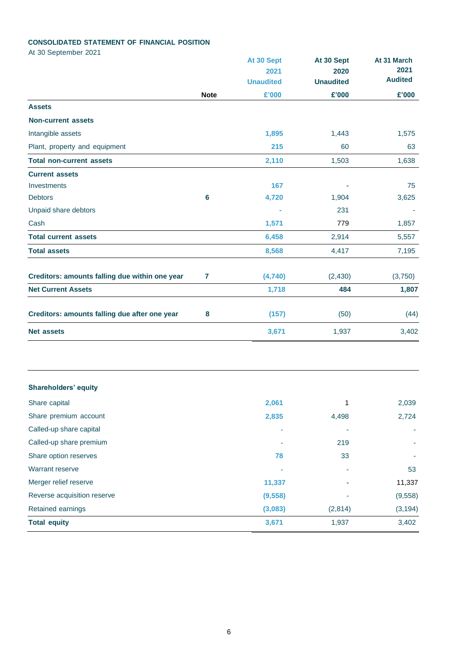# **CONSOLIDATED STATEMENT OF FINANCIAL POSITION**

At 30 September 2021

|                                                |             | At 30 Sept<br>2021 | At 30 Sept<br>2020 | At 31 March<br>2021 |
|------------------------------------------------|-------------|--------------------|--------------------|---------------------|
|                                                |             | <b>Unaudited</b>   | <b>Unaudited</b>   | <b>Audited</b>      |
|                                                | <b>Note</b> | £'000              | £'000              | £'000               |
| <b>Assets</b>                                  |             |                    |                    |                     |
| <b>Non-current assets</b>                      |             |                    |                    |                     |
| Intangible assets                              |             | 1,895              | 1,443              | 1,575               |
| Plant, property and equipment                  |             | 215                | 60                 | 63                  |
| <b>Total non-current assets</b>                |             | 2,110              | 1,503              | 1,638               |
| <b>Current assets</b>                          |             |                    |                    |                     |
| Investments                                    |             | 167                |                    | 75                  |
| <b>Debtors</b>                                 | 6           | 4,720              | 1,904              | 3,625               |
| Unpaid share debtors                           |             |                    | 231                |                     |
| Cash                                           |             | 1,571              | 779                | 1,857               |
| <b>Total current assets</b>                    |             | 6,458              | 2,914              | 5,557               |
| <b>Total assets</b>                            |             | 8,568              | 4,417              | 7,195               |
| Creditors: amounts falling due within one year | 7           | (4,740)            | (2, 430)           | (3,750)             |
| <b>Net Current Assets</b>                      |             | 1,718              | 484                | 1,807               |
| Creditors: amounts falling due after one year  | 8           | (157)              | (50)               | (44)                |
| <b>Net assets</b>                              |             | 3,671              | 1,937              | 3,402               |

# **Shareholders' equity**

| Share capital               | 2,061    | 1       | 2,039    |
|-----------------------------|----------|---------|----------|
| Share premium account       | 2,835    | 4,498   | 2,724    |
| Called-up share capital     | $\sim$   |         |          |
| Called-up share premium     | $\sim$   | 219     |          |
| Share option reserves       | 78       | 33      |          |
| <b>Warrant reserve</b>      | $\sim$   | ۰       | 53       |
| Merger relief reserve       | 11,337   | ٠       | 11,337   |
| Reverse acquisition reserve | (9, 558) | ۰       | (9, 558) |
| Retained earnings           | (3,083)  | (2,814) | (3, 194) |
| <b>Total equity</b>         | 3,671    | 1,937   | 3,402    |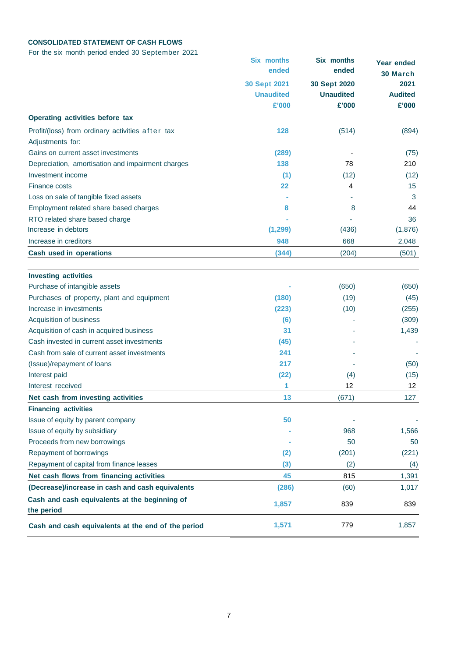# **CONSOLIDATED STATEMENT OF CASH FLOWS**

For the six month period ended 30 September 2021

|                                                             | <b>Six months</b><br>ended              | Six months<br>ended              | <b>Year ended</b><br>30 March |
|-------------------------------------------------------------|-----------------------------------------|----------------------------------|-------------------------------|
|                                                             | <b>30 Sept 2021</b><br><b>Unaudited</b> | 30 Sept 2020<br><b>Unaudited</b> | 2021<br><b>Audited</b>        |
|                                                             | £'000                                   | £'000                            | £'000                         |
| Operating activities before tax                             |                                         |                                  |                               |
| Profit/(loss) from ordinary activities after tax            | 128                                     | (514)                            | (894)                         |
| Adjustments for:                                            |                                         |                                  |                               |
| Gains on current asset investments                          | (289)                                   |                                  | (75)                          |
| Depreciation, amortisation and impairment charges           | 138                                     | 78                               | 210                           |
| Investment income                                           | (1)                                     | (12)                             | (12)                          |
| Finance costs                                               | 22                                      | 4                                | 15                            |
| Loss on sale of tangible fixed assets                       |                                         |                                  | 3                             |
| Employment related share based charges                      | 8                                       | 8                                | 44                            |
| RTO related share based charge                              |                                         |                                  | 36                            |
| Increase in debtors                                         | (1, 299)                                | (436)                            | (1,876)                       |
| Increase in creditors                                       | 948                                     | 668                              | 2,048                         |
| <b>Cash used in operations</b>                              | (344)                                   | (204)                            | (501)                         |
|                                                             |                                         |                                  |                               |
| <b>Investing activities</b>                                 |                                         |                                  |                               |
| Purchase of intangible assets                               |                                         | (650)                            | (650)                         |
| Purchases of property, plant and equipment                  | (180)                                   | (19)                             | (45)                          |
| Increase in investments                                     | (223)                                   | (10)                             | (255)                         |
| Acquisition of business                                     | (6)                                     |                                  | (309)                         |
| Acquisition of cash in acquired business                    | 31                                      |                                  | 1,439                         |
| Cash invested in current asset investments                  | (45)                                    |                                  |                               |
| Cash from sale of current asset investments                 | 241                                     |                                  |                               |
| (Issue)/repayment of loans                                  | 217                                     |                                  | (50)                          |
| Interest paid                                               | (22)                                    | (4)                              | (15)                          |
| Interest received                                           | 1                                       | 12                               | 12                            |
| Net cash from investing activities                          | 13                                      | (671)                            | 127                           |
| <b>Financing activities</b>                                 |                                         |                                  |                               |
| Issue of equity by parent company                           | 50                                      |                                  |                               |
| Issue of equity by subsidiary                               |                                         | 968                              | 1,566                         |
| Proceeds from new borrowings                                |                                         | 50                               | 50                            |
| Repayment of borrowings                                     | (2)                                     | (201)                            | (221)                         |
| Repayment of capital from finance leases                    | (3)                                     | (2)                              | (4)                           |
| Net cash flows from financing activities                    | 45                                      | 815                              | 1,391                         |
| (Decrease)/increase in cash and cash equivalents            | (286)                                   | (60)                             | 1,017                         |
| Cash and cash equivalents at the beginning of<br>the period | 1,857                                   | 839                              | 839                           |
| Cash and cash equivalents at the end of the period          | 1,571                                   | 779                              | 1,857                         |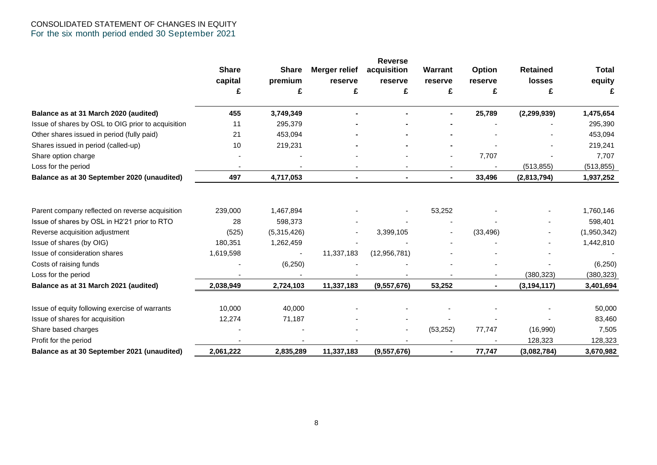# CONSOLIDATED STATEMENT OF CHANGES IN EQUITY For the six month period ended 30 September 2021

|                                                    |              |                          |                      | <b>Reverse</b> |           |           |                 |              |
|----------------------------------------------------|--------------|--------------------------|----------------------|----------------|-----------|-----------|-----------------|--------------|
|                                                    | <b>Share</b> | <b>Share</b>             | <b>Merger relief</b> | acquisition    | Warrant   | Option    | <b>Retained</b> | <b>Total</b> |
|                                                    | capital      | premium                  | reserve              | reserve        | reserve   | reserve   | losses          | equity       |
|                                                    | £            | £                        | £                    | £              | £         | £         | £               | £            |
| Balance as at 31 March 2020 (audited)              | 455          | 3,749,349                |                      |                |           | 25,789    | (2, 299, 939)   | 1,475,654    |
| Issue of shares by OSL to OIG prior to acquisition | 11           | 295,379                  |                      |                |           |           |                 | 295,390      |
| Other shares issued in period (fully paid)         | 21           | 453,094                  |                      |                |           |           |                 | 453,094      |
| Shares issued in period (called-up)                | 10           | 219,231                  |                      |                |           |           |                 | 219,241      |
| Share option charge                                |              |                          |                      |                | ٠         | 7,707     |                 | 7,707        |
| Loss for the period                                |              |                          |                      |                |           |           | (513, 855)      | (513, 855)   |
| Balance as at 30 September 2020 (unaudited)        | 497          | 4,717,053                |                      |                |           | 33,496    | (2,813,794)     | 1,937,252    |
|                                                    |              |                          |                      |                |           |           |                 |              |
| Parent company reflected on reverse acquisition    | 239,000      | 1,467,894                |                      |                | 53,252    |           |                 | 1,760,146    |
| Issue of shares by OSL in H2'21 prior to RTO       | 28           | 598,373                  |                      |                |           |           |                 | 598,401      |
| Reverse acquisition adjustment                     | (525)        | (5,315,426)              |                      | 3,399,105      |           | (33, 496) |                 | (1,950,342)  |
| Issue of shares (by OIG)                           | 180,351      | 1,262,459                |                      |                |           |           |                 | 1,442,810    |
| Issue of consideration shares                      | 1,619,598    | $\overline{\phantom{a}}$ | 11,337,183           | (12, 956, 781) |           |           |                 |              |
| Costs of raising funds                             |              | (6, 250)                 |                      |                |           |           |                 | (6, 250)     |
| Loss for the period                                |              |                          |                      |                |           |           | (380, 323)      | (380, 323)   |
| Balance as at 31 March 2021 (audited)              | 2,038,949    | 2,724,103                | 11,337,183           | (9,557,676)    | 53,252    |           | (3, 194, 117)   | 3,401,694    |
| Issue of equity following exercise of warrants     | 10,000       | 40,000                   |                      |                |           |           |                 | 50,000       |
| Issue of shares for acquisition                    | 12,274       | 71,187                   |                      |                |           |           |                 | 83,460       |
| Share based charges                                |              |                          |                      |                | (53, 252) | 77,747    | (16,990)        | 7,505        |
| Profit for the period                              |              |                          |                      |                |           |           | 128,323         | 128,323      |
| Balance as at 30 September 2021 (unaudited)        | 2,061,222    | 2,835,289                | 11,337,183           | (9,557,676)    |           | 77,747    | (3,082,784)     | 3,670,982    |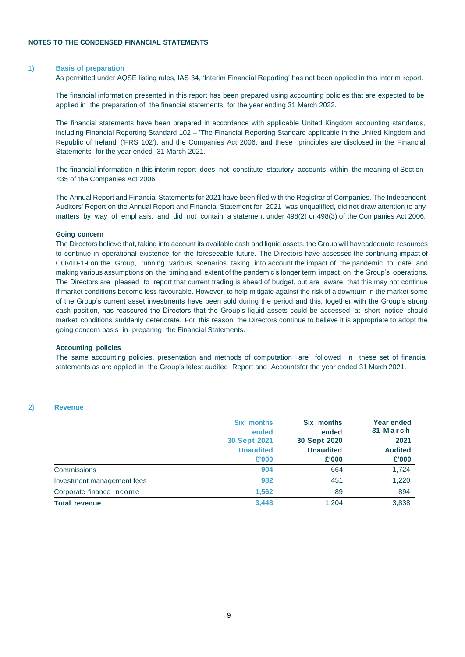#### 1) **Basis of preparation**

As permitted under AQSE listing rules, IAS 34, 'Interim Financial Reporting' has not been applied in this interim report.

The financial information presented in this report has been prepared using accounting policies that are expected to be applied in the preparation of the financial statements for the year ending 31 March 2022.

The financial statements have been prepared in accordance with applicable United Kingdom accounting standards, including Financial Reporting Standard 102 – 'The Financial Reporting Standard applicable in the United Kingdom and Republic of Ireland' ('FRS 102'), and the Companies Act 2006, and these principles are disclosed in the Financial Statements for the year ended 31 March 2021.

The financial information in this interim report does not constitute statutory accounts within the meaning of Section 435 of the Companies Act 2006.

The Annual Report and Financial Statements for 2021 have been filed with the Registrar of Companies. The Independent Auditors' Report on the Annual Report and Financial Statement for 2021 was unqualified, did not draw attention to any matters by way of emphasis, and did not contain a statement under 498(2) or 498(3) of the Companies Act 2006.

#### **Going concern**

The Directors believe that, taking into account its available cash and liquid assets, the Group will haveadequate resources to continue in operational existence for the foreseeable future. The Directors have assessed the continuing impact of COVID-19 on the Group, running various scenarios taking into account the impact of the pandemic to date and making various assumptions on the timing and extent of the pandemic's longer term impact on the Group's operations. The Directors are pleased to report that current trading is ahead of budget, but are aware that this may not continue if market conditions become less favourable. However, to help mitigate against the risk of a downturn in the market some of the Group's current asset investments have been sold during the period and this, together with the Group's strong cash position, has reassured the Directors that the Group's liquid assets could be accessed at short notice should market conditions suddenly deteriorate. For this reason, the Directors continue to believe it is appropriate to adopt the going concern basis in preparing the Financial Statements.

#### **Accounting policies**

The same accounting policies, presentation and methods of computation are followed in these set of financial statements as are applied in the Group's latest audited Report and Accountsfor the year ended 31 March 2021.

#### 2) **Revenue**

|                            | <b>Six months</b><br>ended<br><b>30 Sept 2021</b><br><b>Unaudited</b><br>£'000 | Six months<br>ended<br>30 Sept 2020<br><b>Unaudited</b><br>£'000 | <b>Year ended</b><br>31 March<br>2021<br><b>Audited</b><br>£'000 |
|----------------------------|--------------------------------------------------------------------------------|------------------------------------------------------------------|------------------------------------------------------------------|
| Commissions                | 904                                                                            | 664                                                              | 1,724                                                            |
| Investment management fees | 982                                                                            | 451                                                              | 1,220                                                            |
| Corporate finance income   | 1.562                                                                          | 89                                                               | 894                                                              |
| <b>Total revenue</b>       | 3,448                                                                          | 1,204                                                            | 3,838                                                            |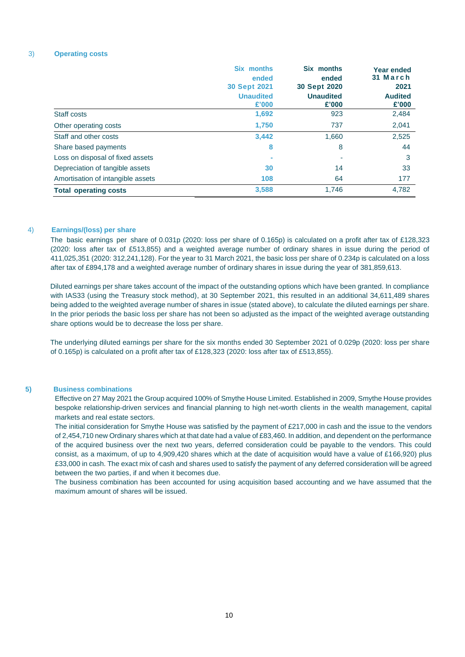#### 3) **Operating costs**

|                                   | Six months<br>ended<br><b>30 Sept 2021</b><br><b>Unaudited</b><br>£'000 | Six months<br>ended<br><b>30 Sept 2020</b><br><b>Unaudited</b><br>£'000 | <b>Year ended</b><br>31 March<br>2021<br><b>Audited</b><br>£'000 |
|-----------------------------------|-------------------------------------------------------------------------|-------------------------------------------------------------------------|------------------------------------------------------------------|
| Staff costs                       | 1,692                                                                   | 923                                                                     | 2,484                                                            |
| Other operating costs             | 1,750                                                                   | 737                                                                     | 2,041                                                            |
| Staff and other costs             | 3,442                                                                   | 1,660                                                                   | 2,525                                                            |
| Share based payments              | 8                                                                       | 8                                                                       | 44                                                               |
| Loss on disposal of fixed assets  |                                                                         |                                                                         | 3                                                                |
| Depreciation of tangible assets   | 30                                                                      | 14                                                                      | 33                                                               |
| Amortisation of intangible assets | 108                                                                     | 64                                                                      | 177                                                              |
| <b>Total operating costs</b>      | 3,588                                                                   | 1,746                                                                   | 4,782                                                            |

#### 4) **Earnings/(loss) per share**

The basic earnings per share of 0.031p (2020: loss per share of 0.165p) is calculated on a profit after tax of £128,323 (2020: loss after tax of £513,855) and a weighted average number of ordinary shares in issue during the period of 411,025,351 (2020: 312,241,128). For the year to 31 March 2021, the basic loss per share of 0.234p is calculated on a loss after tax of £894,178 and a weighted average number of ordinary shares in issue during the year of 381,859,613.

Diluted earnings per share takes account of the impact of the outstanding options which have been granted. In compliance with IAS33 (using the Treasury stock method), at 30 September 2021, this resulted in an additional 34,611,489 shares being added to the weighted average number of shares in issue (stated above), to calculate the diluted earnings per share. In the prior periods the basic loss per share has not been so adjusted as the impact of the weighted average outstanding share options would be to decrease the loss per share.

The underlying diluted earnings per share for the six months ended 30 September 2021 of 0.029p (2020: loss per share of 0.165p) is calculated on a profit after tax of £128,323 (2020: loss after tax of £513,855).

# **5) Business combinations**

Effective on 27 May 2021 the Group acquired 100% of Smythe House Limited. Established in 2009, Smythe House provides bespoke relationship-driven services and financial planning to high net-worth clients in the wealth management, capital markets and real estate sectors.

The initial consideration for Smythe House was satisfied by the payment of £217,000 in cash and the issue to the vendors of 2,454,710 new Ordinary shares which at that date had a value of £83,460. In addition, and dependent on the performance of the acquired business over the next two years, deferred consideration could be payable to the vendors. This could consist, as a maximum, of up to 4,909,420 shares which at the date of acquisition would have a value of £166,920) plus £33,000 in cash. The exact mix of cash and shares used to satisfy the payment of any deferred consideration will be agreed between the two parties, if and when it becomes due.

The business combination has been accounted for using acquisition based accounting and we have assumed that the maximum amount of shares will be issued.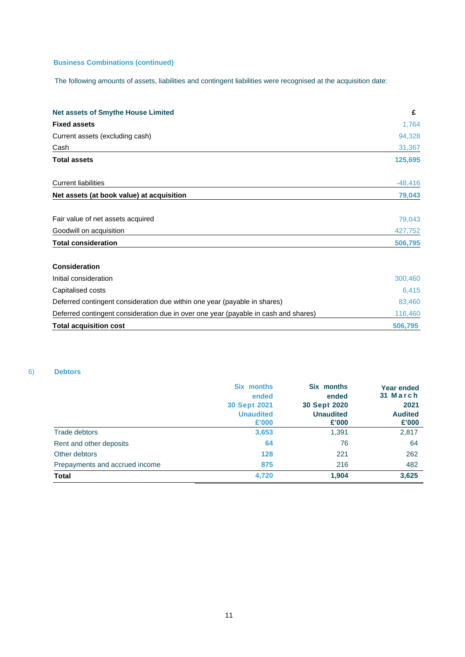# **Business Combinations (continued)**

The following amounts of assets, liabilities and contingent liabilities were recognised at the acquisition date:

| <b>Fixed assets</b><br>Current assets (excluding cash)<br>Cash<br><b>Total assets</b><br><b>Current liabilities</b><br>Net assets (at book value) at acquisition<br>Fair value of net assets acquired<br>Goodwill on acquisition<br><b>Total consideration</b><br><b>Consideration</b><br>Initial consideration<br>Capitalised costs<br>Deferred contingent consideration due within one year (payable in shares) | <b>Net assets of Smythe House Limited</b> | £         |
|-------------------------------------------------------------------------------------------------------------------------------------------------------------------------------------------------------------------------------------------------------------------------------------------------------------------------------------------------------------------------------------------------------------------|-------------------------------------------|-----------|
|                                                                                                                                                                                                                                                                                                                                                                                                                   |                                           | 1,764     |
|                                                                                                                                                                                                                                                                                                                                                                                                                   |                                           | 94,328    |
|                                                                                                                                                                                                                                                                                                                                                                                                                   |                                           | 31,367    |
|                                                                                                                                                                                                                                                                                                                                                                                                                   |                                           | 125,695   |
|                                                                                                                                                                                                                                                                                                                                                                                                                   |                                           | $-48,416$ |
|                                                                                                                                                                                                                                                                                                                                                                                                                   |                                           | 79,043    |
|                                                                                                                                                                                                                                                                                                                                                                                                                   |                                           | 79,043    |
|                                                                                                                                                                                                                                                                                                                                                                                                                   |                                           | 427,752   |
|                                                                                                                                                                                                                                                                                                                                                                                                                   |                                           | 506,795   |
|                                                                                                                                                                                                                                                                                                                                                                                                                   |                                           |           |
|                                                                                                                                                                                                                                                                                                                                                                                                                   |                                           | 300,460   |
|                                                                                                                                                                                                                                                                                                                                                                                                                   |                                           | 6,415     |
|                                                                                                                                                                                                                                                                                                                                                                                                                   |                                           | 83,460    |
| Deferred contingent consideration due in over one year (payable in cash and shares)                                                                                                                                                                                                                                                                                                                               |                                           | 116,460   |
| <b>Total acquisition cost</b><br>506,795                                                                                                                                                                                                                                                                                                                                                                          |                                           |           |

# 6) **Debtors**

|                                | <b>Six months</b><br>ended              | Six months<br>ended              | <b>Year ended</b><br>31 March |
|--------------------------------|-----------------------------------------|----------------------------------|-------------------------------|
|                                | <b>30 Sept 2021</b><br><b>Unaudited</b> | 30 Sept 2020<br><b>Unaudited</b> | 2021<br><b>Audited</b>        |
|                                | £'000                                   | £'000                            | £'000                         |
| Trade debtors                  | 3,653                                   | 1,391                            | 2,817                         |
| Rent and other deposits        | 64                                      | 76                               | 64                            |
| Other debtors                  | 128                                     | 221                              | 262                           |
| Prepayments and accrued income | 875                                     | 216                              | 482                           |
| <b>Total</b>                   | 4,720                                   | 1,904                            | 3,625                         |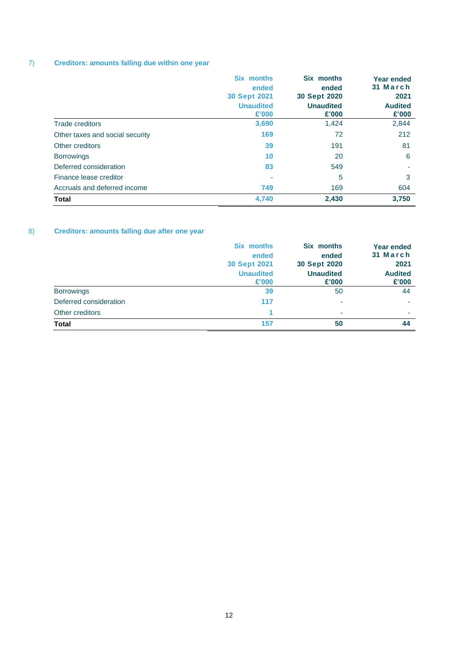# 7) **Creditors: amounts falling due within one year**

|                                 | Six months<br>ended<br><b>30 Sept 2021</b><br><b>Unaudited</b><br>£'000 | Six months<br>ended<br>30 Sept 2020<br><b>Unaudited</b><br>£'000 | <b>Year ended</b><br>31 March<br>2021<br><b>Audited</b><br>£'000 |
|---------------------------------|-------------------------------------------------------------------------|------------------------------------------------------------------|------------------------------------------------------------------|
| <b>Trade creditors</b>          | 3,690                                                                   | 1,424                                                            | 2,844                                                            |
| Other taxes and social security | 169                                                                     | 72                                                               | 212                                                              |
| Other creditors                 | 39                                                                      | 191                                                              | 81                                                               |
| <b>Borrowings</b>               | 10                                                                      | 20                                                               | 6                                                                |
| Deferred consideration          | 83                                                                      | 549                                                              |                                                                  |
| Finance lease creditor          | $\blacksquare$                                                          | 5                                                                | 3                                                                |
| Accruals and deferred income    | 749                                                                     | 169                                                              | 604                                                              |
| <b>Total</b>                    | 4,740                                                                   | 2,430                                                            | 3.750                                                            |

# 8) **Creditors: amounts falling due after one year**

|                        | <b>Six months</b><br>ended<br>30 Sept 2021<br><b>Unaudited</b><br>£'000 | Six months<br>ended<br>30 Sept 2020<br><b>Unaudited</b><br>£'000 | <b>Year ended</b><br>31 March<br>2021<br><b>Audited</b><br>£'000 |
|------------------------|-------------------------------------------------------------------------|------------------------------------------------------------------|------------------------------------------------------------------|
|                        |                                                                         |                                                                  |                                                                  |
| <b>Borrowings</b>      | 39                                                                      | 50                                                               | 44                                                               |
| Deferred consideration | 117                                                                     | ۰                                                                |                                                                  |
| Other creditors        |                                                                         | ٠                                                                | ۰                                                                |
| <b>Total</b>           | 157                                                                     | 50                                                               | 44                                                               |